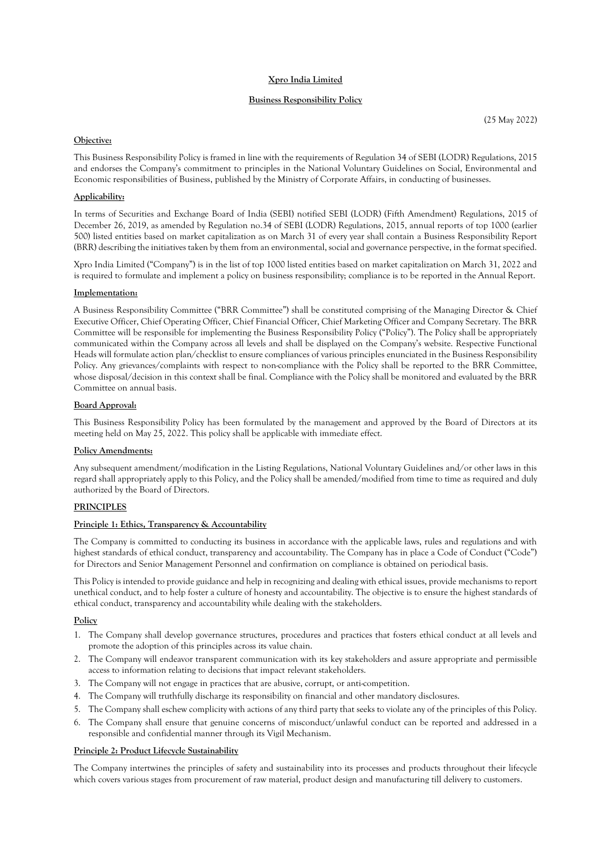# **Xpro India Limited**

## **Business Responsibility Policy**

## **Objective:**

This Business Responsibility Policy is framed in line with the requirements of Regulation 34 of SEBI (LODR) Regulations, 2015 and endorses the Company's commitment to principles in the National Voluntary Guidelines on Social, Environmental and Economic responsibilities of Business, published by the Ministry of Corporate Affairs, in conducting of businesses.

### **Applicability:**

In terms of Securities and Exchange Board of India (SEBI) notified SEBI (LODR) (Fifth Amendment) Regulations, 2015 of December 26, 2019, as amended by Regulation no.34 of SEBI (LODR) Regulations, 2015, annual reports of top 1000 (earlier 500) listed entities based on market capitalization as on March 31 of every year shall contain a Business Responsibility Report (BRR) describing the initiatives taken by them from an environmental, social and governance perspective, in the format specified.

Xpro India Limited ("Company") is in the list of top 1000 listed entities based on market capitalization on March 31, 2022 and is required to formulate and implement a policy on business responsibility; compliance is to be reported in the Annual Report.

### **Implementation:**

A Business Responsibility Committee ("BRR Committee") shall be constituted comprising of the Managing Director & Chief Executive Officer, Chief Operating Officer, Chief Financial Officer, Chief Marketing Officer and Company Secretary. The BRR Committee will be responsible for implementing the Business Responsibility Policy ("Policy"). The Policy shall be appropriately communicated within the Company across all levels and shall be displayed on the Company's website. Respective Functional Heads will formulate action plan/checklist to ensure compliances of various principles enunciated in the Business Responsibility Policy. Any grievances/complaints with respect to non-compliance with the Policy shall be reported to the BRR Committee, whose disposal/decision in this context shall be final. Compliance with the Policy shall be monitored and evaluated by the BRR Committee on annual basis.

### **Board Approval:**

This Business Responsibility Policy has been formulated by the management and approved by the Board of Directors at its meeting held on May 25, 2022. This policy shall be applicable with immediate effect.

#### **Policy Amendments:**

Any subsequent amendment/modification in the Listing Regulations, National Voluntary Guidelines and/or other laws in this regard shall appropriately apply to this Policy, and the Policy shall be amended/modified from time to time as required and duly authorized by the Board of Directors.

### **PRINCIPLES**

### **Principle 1: Ethics, Transparency & Accountability**

The Company is committed to conducting its business in accordance with the applicable laws, rules and regulations and with highest standards of ethical conduct, transparency and accountability. The Company has in place a Code of Conduct ("Code") for Directors and Senior Management Personnel and confirmation on compliance is obtained on periodical basis.

This Policy is intended to provide guidance and help in recognizing and dealing with ethical issues, provide mechanisms to report unethical conduct, and to help foster a culture of honesty and accountability. The objective is to ensure the highest standards of ethical conduct, transparency and accountability while dealing with the stakeholders.

### **Policy**

- 1. The Company shall develop governance structures, procedures and practices that fosters ethical conduct at all levels and promote the adoption of this principles across its value chain.
- 2. The Company will endeavor transparent communication with its key stakeholders and assure appropriate and permissible access to information relating to decisions that impact relevant stakeholders.
- 3. The Company will not engage in practices that are abusive, corrupt, or anti-competition.
- 4. The Company will truthfully discharge its responsibility on financial and other mandatory disclosures.
- 5. The Company shall eschew complicity with actions of any third party that seeks to violate any of the principles of this Policy.
- 6. The Company shall ensure that genuine concerns of misconduct/unlawful conduct can be reported and addressed in a responsible and confidential manner through its Vigil Mechanism.

### **Principle 2: Product Lifecycle Sustainability**

The Company intertwines the principles of safety and sustainability into its processes and products throughout their lifecycle which covers various stages from procurement of raw material, product design and manufacturing till delivery to customers.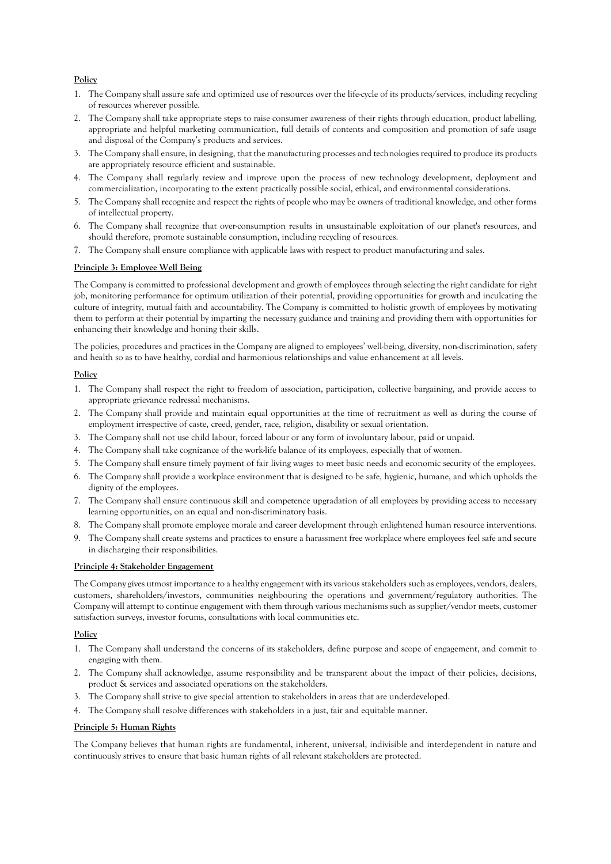# **Policy**

- 1. The Company shall assure safe and optimized use of resources over the life-cycle of its products/services, including recycling of resources wherever possible.
- 2. The Company shall take appropriate steps to raise consumer awareness of their rights through education, product labelling, appropriate and helpful marketing communication, full details of contents and composition and promotion of safe usage and disposal of the Company's products and services.
- 3. The Company shall ensure, in designing, that the manufacturing processes and technologies required to produce its products are appropriately resource efficient and sustainable.
- 4. The Company shall regularly review and improve upon the process of new technology development, deployment and commercialization, incorporating to the extent practically possible social, ethical, and environmental considerations.
- 5. The Company shall recognize and respect the rights of people who may be owners of traditional knowledge, and other forms of intellectual property.
- 6. The Company shall recognize that over-consumption results in unsustainable exploitation of our planet's resources, and should therefore, promote sustainable consumption, including recycling of resources.
- 7. The Company shall ensure compliance with applicable laws with respect to product manufacturing and sales.

# **Principle 3: Employee Well Being**

The Company is committed to professional development and growth of employees through selecting the right candidate for right job, monitoring performance for optimum utilization of their potential, providing opportunities for growth and inculcating the culture of integrity, mutual faith and accountability. The Company is committed to holistic growth of employees by motivating them to perform at their potential by imparting the necessary guidance and training and providing them with opportunities for enhancing their knowledge and honing their skills.

The policies, procedures and practices in the Company are aligned to employees' well-being, diversity, non-discrimination, safety and health so as to have healthy, cordial and harmonious relationships and value enhancement at all levels.

# **Policy**

- 1. The Company shall respect the right to freedom of association, participation, collective bargaining, and provide access to appropriate grievance redressal mechanisms.
- 2. The Company shall provide and maintain equal opportunities at the time of recruitment as well as during the course of employment irrespective of caste, creed, gender, race, religion, disability or sexual orientation.
- 3. The Company shall not use child labour, forced labour or any form of involuntary labour, paid or unpaid.
- 4. The Company shall take cognizance of the work-life balance of its employees, especially that of women.
- 5. The Company shall ensure timely payment of fair living wages to meet basic needs and economic security of the employees.
- 6. The Company shall provide a workplace environment that is designed to be safe, hygienic, humane, and which upholds the dignity of the employees.
- 7. The Company shall ensure continuous skill and competence upgradation of all employees by providing access to necessary learning opportunities, on an equal and non-discriminatory basis.
- 8. The Company shall promote employee morale and career development through enlightened human resource interventions.
- 9. The Company shall create systems and practices to ensure a harassment free workplace where employees feel safe and secure in discharging their responsibilities.

## **Principle 4: Stakeholder Engagement**

The Company gives utmost importance to a healthy engagement with its various stakeholders such as employees, vendors, dealers, customers, shareholders/investors, communities neighbouring the operations and government/regulatory authorities. The Company will attempt to continue engagement with them through various mechanisms such as supplier/vendor meets, customer satisfaction surveys, investor forums, consultations with local communities etc.

## **Policy**

- 1. The Company shall understand the concerns of its stakeholders, define purpose and scope of engagement, and commit to engaging with them.
- 2. The Company shall acknowledge, assume responsibility and be transparent about the impact of their policies, decisions, product & services and associated operations on the stakeholders.
- 3. The Company shall strive to give special attention to stakeholders in areas that are underdeveloped.
- 4. The Company shall resolve differences with stakeholders in a just, fair and equitable manner.

## **Principle 5: Human Rights**

The Company believes that human rights are fundamental, inherent, universal, indivisible and interdependent in nature and continuously strives to ensure that basic human rights of all relevant stakeholders are protected.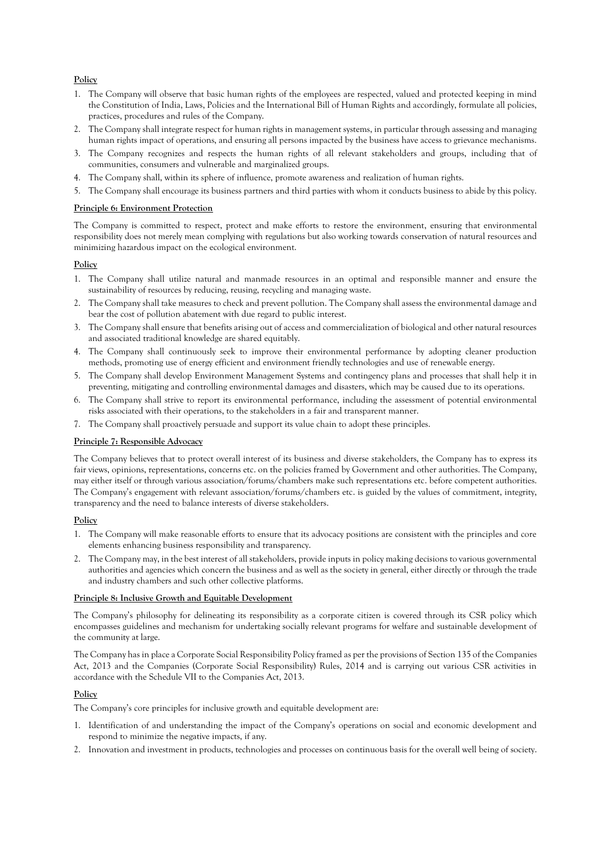# **Policy**

- 1. The Company will observe that basic human rights of the employees are respected, valued and protected keeping in mind the Constitution of India, Laws, Policies and the International Bill of Human Rights and accordingly, formulate all policies, practices, procedures and rules of the Company.
- 2. The Company shall integrate respect for human rights in management systems, in particular through assessing and managing human rights impact of operations, and ensuring all persons impacted by the business have access to grievance mechanisms.
- 3. The Company recognizes and respects the human rights of all relevant stakeholders and groups, including that of communities, consumers and vulnerable and marginalized groups.
- 4. The Company shall, within its sphere of influence, promote awareness and realization of human rights.
- 5. The Company shall encourage its business partners and third parties with whom it conducts business to abide by this policy.

### **Principle 6: Environment Protection**

The Company is committed to respect, protect and make efforts to restore the environment, ensuring that environmental responsibility does not merely mean complying with regulations but also working towards conservation of natural resources and minimizing hazardous impact on the ecological environment.

## **Policy**

- 1. The Company shall utilize natural and manmade resources in an optimal and responsible manner and ensure the sustainability of resources by reducing, reusing, recycling and managing waste.
- 2. The Company shall take measures to check and prevent pollution. The Company shall assess the environmental damage and bear the cost of pollution abatement with due regard to public interest.
- 3. The Company shall ensure that benefits arising out of access and commercialization of biological and other natural resources and associated traditional knowledge are shared equitably.
- 4. The Company shall continuously seek to improve their environmental performance by adopting cleaner production methods, promoting use of energy efficient and environment friendly technologies and use of renewable energy.
- 5. The Company shall develop Environment Management Systems and contingency plans and processes that shall help it in preventing, mitigating and controlling environmental damages and disasters, which may be caused due to its operations.
- 6. The Company shall strive to report its environmental performance, including the assessment of potential environmental risks associated with their operations, to the stakeholders in a fair and transparent manner.
- 7. The Company shall proactively persuade and support its value chain to adopt these principles.

# **Principle 7: Responsible Advocacy**

The Company believes that to protect overall interest of its business and diverse stakeholders, the Company has to express its fair views, opinions, representations, concerns etc. on the policies framed by Government and other authorities. The Company, may either itself or through various association/forums/chambers make such representations etc. before competent authorities. The Company's engagement with relevant association/forums/chambers etc. is guided by the values of commitment, integrity, transparency and the need to balance interests of diverse stakeholders.

## **Policy**

- 1. The Company will make reasonable efforts to ensure that its advocacy positions are consistent with the principles and core elements enhancing business responsibility and transparency.
- 2. The Company may, in the best interest of all stakeholders, provide inputs in policy making decisions to various governmental authorities and agencies which concern the business and as well as the society in general, either directly or through the trade and industry chambers and such other collective platforms.

### **Principle 8: Inclusive Growth and Equitable Development**

The Company's philosophy for delineating its responsibility as a corporate citizen is covered through its CSR policy which encompasses guidelines and mechanism for undertaking socially relevant programs for welfare and sustainable development of the community at large.

The Company has in place a Corporate Social Responsibility Policy framed as per the provisions of Section 135 of the Companies Act, 2013 and the Companies (Corporate Social Responsibility) Rules, 2014 and is carrying out various CSR activities in accordance with the Schedule VII to the Companies Act, 2013.

# **Policy**

The Company's core principles for inclusive growth and equitable development are:

- 1. Identification of and understanding the impact of the Company's operations on social and economic development and respond to minimize the negative impacts, if any.
- 2. Innovation and investment in products, technologies and processes on continuous basis for the overall well being of society.